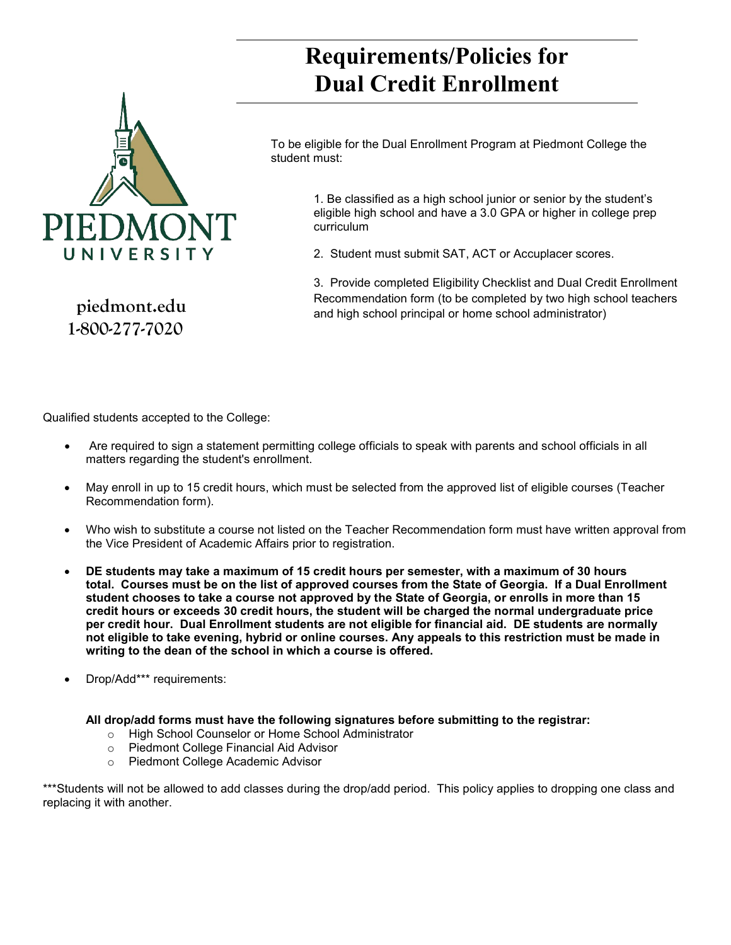

 **piedmont.edu 1-800-277-7020**

## **Requirements/Policies for Dual Credit Enrollment**

To be eligible for the Dual Enrollment Program at Piedmont College the student must:

> 1. Be classified as a high school junior or senior by the student's eligible high school and have a 3.0 GPA or higher in college prep curriculum

2. Student must submit SAT, ACT or Accuplacer scores.

3. Provide completed Eligibility Checklist and Dual Credit Enrollment Recommendation form (to be completed by two high school teachers and high school principal or home school administrator)

Qualified students accepted to the College:

- Are required to sign a statement permitting college officials to speak with parents and school officials in all matters regarding the student's enrollment.
- May enroll in up to 15 credit hours, which must be selected from the approved list of eligible courses (Teacher Recommendation form).
- Who wish to substitute a course not listed on the Teacher Recommendation form must have written approval from the Vice President of Academic Affairs prior to registration.
- **DE students may take a maximum of 15 credit hours per semester, with a maximum of 30 hours total. Courses must be on the list of approved courses from the State of Georgia. If a Dual Enrollment student chooses to take a course not approved by the State of Georgia, or enrolls in more than 15 credit hours or exceeds 30 credit hours, the student will be charged the normal undergraduate price per credit hour. Dual Enrollment students are not eligible for financial aid. DE students are normally not eligible to take evening, hybrid or online courses. Any appeals to this restriction must be made in writing to the dean of the school in which a course is offered.**
- Drop/Add\*\*\* requirements:

#### **All drop/add forms must have the following signatures before submitting to the registrar:**

- o High School Counselor or Home School Administrator<br>○ Piedmont College Financial Aid Advisor
- o Piedmont College Financial Aid Advisor<br>⊙ Piedmont College Academic Advisor
- Piedmont College Academic Advisor

\*\*\*Students will not be allowed to add classes during the drop/add period. This policy applies to dropping one class and replacing it with another.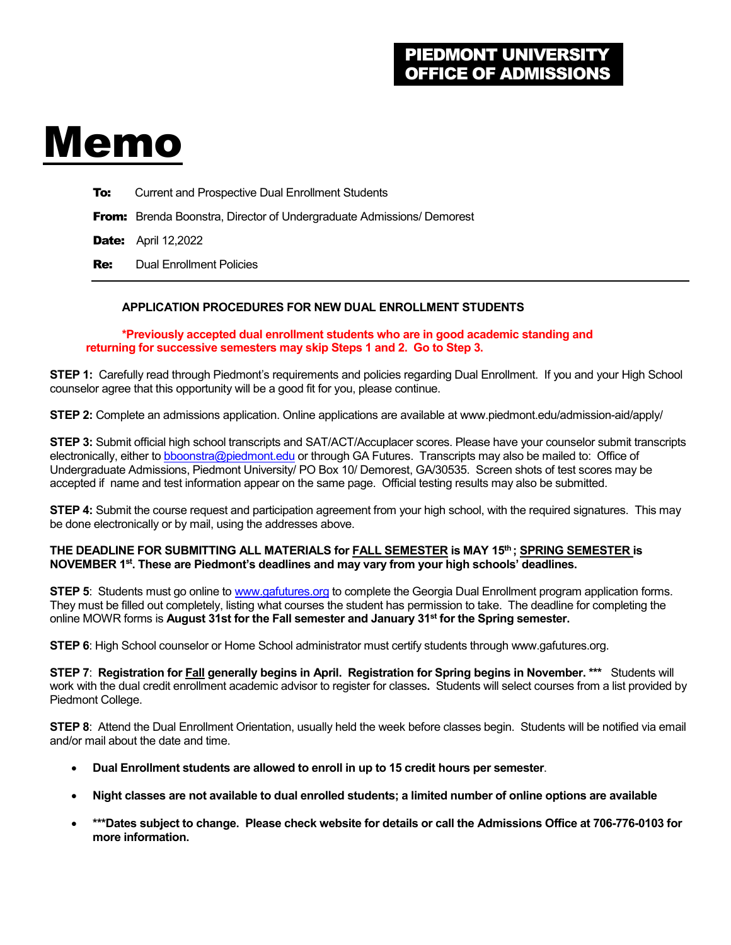# Memo

**To:** Current and Prospective Dual Enrollment Students

From: Brenda Boonstra, Director of Undergraduate Admissions/ Demorest

**Date:** April 12,2022

Re: Dual Enrollment Policies

#### **APPLICATION PROCEDURES FOR NEW DUAL ENROLLMENT STUDENTS**

**\*Previously accepted dual enrollment students who are in good academic standing and returning for successive semesters may skip Steps 1 and 2. Go to Step 3.**

**STEP 1:** Carefully read through Piedmont's requirements and policies regarding Dual Enrollment. If you and your High School counselor agree that this opportunity will be a good fit for you, please continue.

**STEP 2:** Complete an admissions application. Online applications are available at www.piedmont.edu/admission-aid/apply/

**STEP 3:** Submit official high school transcripts and SAT/ACT/Accuplacer scores. Please have your counselor submit transcripts electronically, either t[o bboonstra@piedmont.edu](mailto:bboonstra@piedmont.edu) or through GA Futures. Transcripts may also be mailed to: Office of Undergraduate Admissions, Piedmont University/ PO Box 10/ Demorest, GA/30535. Screen shots of test scores may be accepted if name and test information appear on the same page. Official testing results may also be submitted.

**STEP 4:** Submit the course request and participation agreement from your high school, with the required signatures. This may be done electronically or by mail, using the addresses above.

#### **THE DEADLINE FOR SUBMITTING ALL MATERIALS for FALL SEMESTER is MAY 15th ; SPRING SEMESTER is NOVEMBER 1st. These are Piedmont's deadlines and may vary from your high schools' deadlines.**

**STEP 5**: Students must go online t[o www.gafutures.org](http://www.gafutures.org/) to complete the Georgia Dual Enrollment program application forms. They must be filled out completely, listing what courses the student has permission to take. The deadline for completing the online MOWR forms is **August 31st for the Fall semester and January 31st for the Spring semester.** 

**STEP 6**: High School counselor or Home School administrator must certify students through www.gafutures.org.

**STEP 7**: **Registration for Fall generally begins in April. Registration for Spring begins in November. \*\*\*** Students will work with the dual credit enrollment academic advisor to register for classes**.** Students will select courses from a list provided by Piedmont College.

**STEP 8**: Attend the Dual Enrollment Orientation, usually held the week before classes begin. Students will be notified via email and/or mail about the date and time.

- **Dual Enrollment students are allowed to enroll in up to 15 credit hours per semester**.
- **Night classes are not available to dual enrolled students; a limited number of online options are available**
- **\*\*\*Dates subject to change. Please check website for details or call the Admissions Office at 706-776-0103 for more information.**